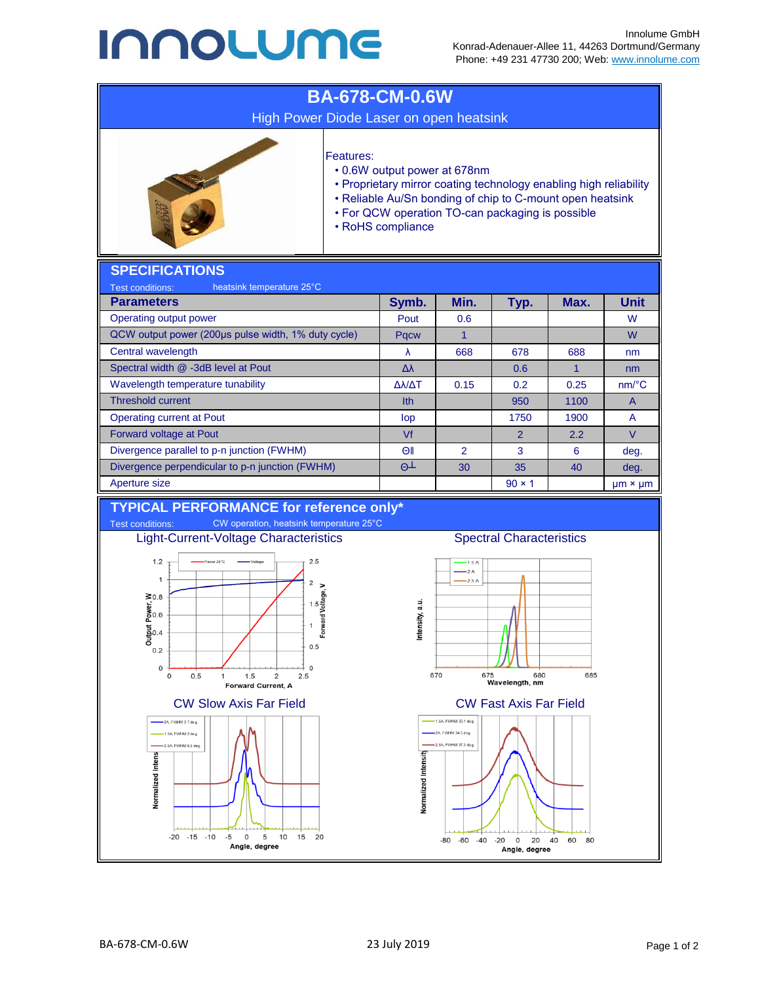## **INNOLUME**



Angle, degree

Angle, degree